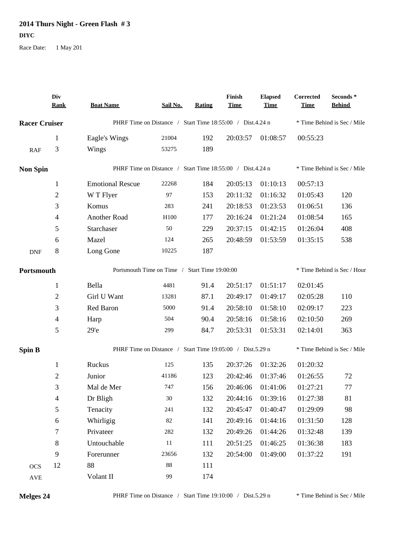## 2014 Thurs Night - Green Flash  $#3$ **DIYC**

Race Date: 1 May 201

|                      | Div<br><b>Rank</b> | <b>Boat Name</b>                                          | Sail No.                                                  | <b>Rating</b>               | Finish<br><b>Time</b>             | <b>Elapsed</b><br>Time | Corrected<br><b>Time</b> | Seconds *<br><b>Behind</b>  |  |
|----------------------|--------------------|-----------------------------------------------------------|-----------------------------------------------------------|-----------------------------|-----------------------------------|------------------------|--------------------------|-----------------------------|--|
| <b>Racer Cruiser</b> |                    | PHRF Time on Distance / Start Time 18:55:00 / Dist.4.24 n |                                                           |                             |                                   |                        |                          | * Time Behind is Sec / Mile |  |
|                      | 1                  | Eagle's Wings                                             | 21004                                                     | 192                         | 20:03:57                          | 01:08:57               | 00:55:23                 |                             |  |
| RAF                  | 3                  | Wings                                                     | 53275                                                     | 189                         |                                   |                        |                          |                             |  |
| <b>Non Spin</b>      |                    |                                                           | PHRF Time on Distance / Start Time 18:55:00 / Dist.4.24 n |                             |                                   |                        |                          | * Time Behind is Sec / Mile |  |
|                      | $\mathbf{1}$       | <b>Emotional Rescue</b>                                   | 22268                                                     | 184                         | 20:05:13                          | 01:10:13               | 00:57:13                 |                             |  |
|                      | 2                  | W T Flyer                                                 | 97                                                        | 153                         | 20:11:32                          | 01:16:32               | 01:05:43                 | 120                         |  |
|                      | 3                  | Komus                                                     | 283                                                       | 241                         | 20:18:53                          | 01:23:53               | 01:06:51                 | 136                         |  |
|                      | $\overline{4}$     | Another Road                                              | H100                                                      | 177                         | 20:16:24                          | 01:21:24               | 01:08:54                 | 165                         |  |
|                      | 5                  | Starchaser                                                | 50                                                        | 229                         | 20:37:15                          | 01:42:15               | 01:26:04                 | 408                         |  |
|                      | 6                  | Mazel                                                     | 124                                                       | 265                         | 20:48:59                          | 01:53:59               | 01:35:15                 | 538                         |  |
| <b>DNF</b>           | 8                  | Long Gone                                                 | 10225                                                     | 187                         |                                   |                        |                          |                             |  |
| Portsmouth           |                    | Portsmouth Time on Time / Start Time 19:00:00             |                                                           | * Time Behind is Sec / Hour |                                   |                        |                          |                             |  |
|                      | $\mathbf{1}$       | Bella                                                     | 4481                                                      | 91.4                        | 20:51:17                          | 01:51:17               | 02:01:45                 |                             |  |
|                      | $\overline{2}$     | Girl U Want                                               | 13281                                                     | 87.1                        | 20:49:17                          | 01:49:17               | 02:05:28                 | 110                         |  |
|                      | 3                  | Red Baron                                                 | 5000                                                      | 91.4                        | 20:58:10                          | 01:58:10               | 02:09:17                 | 223                         |  |
|                      | 4                  | Harp                                                      | 504                                                       | 90.4                        | 20:58:16                          | 01:58:16               | 02:10:50                 | 269                         |  |
|                      | 5                  | 29 <sup>o</sup>                                           | 299                                                       | 84.7                        | 20:53:31                          | 01:53:31               | 02:14:01                 | 363                         |  |
| <b>Spin B</b>        |                    | PHRF Time on Distance /                                   |                                                           |                             | Start Time 19:05:00 / Dist.5.29 n |                        |                          | * Time Behind is Sec / Mile |  |
|                      | $\mathbf{1}$       | Ruckus                                                    | 125                                                       | 135                         | 20:37:26                          | 01:32:26               | 01:20:32                 |                             |  |
|                      | $\overline{c}$     | Junior                                                    | 41186                                                     | 123                         | 20:42:46                          | 01:37:46               | 01:26:55                 | 72                          |  |
|                      | 3                  | Mal de Mer                                                | 747                                                       | 156                         | 20:46:06                          | 01:41:06               | 01:27:21                 | 77                          |  |
|                      | $\overline{4}$     | Dr Bligh                                                  | 30                                                        | 132                         | 20:44:16                          | 01:39:16               | 01:27:38                 | 81                          |  |
|                      | 5                  | Tenacity                                                  | 241                                                       | 132                         | 20:45:47                          | 01:40:47               | 01:29:09                 | 98                          |  |
|                      | $\sqrt{6}$         | Whirligig                                                 | $82\,$                                                    | 141                         | 20:49:16                          | 01:44:16               | 01:31:50                 | 128                         |  |
|                      | $\boldsymbol{7}$   | Privateer                                                 | 282                                                       | 132                         | 20:49:26                          | 01:44:26               | 01:32:48                 | 139                         |  |
|                      | 8                  | Untouchable                                               | $11\,$                                                    | 111                         | 20:51:25                          | 01:46:25               | 01:36:38                 | 183                         |  |
|                      | 9                  | Forerunner                                                | 23656                                                     | 132                         | 20:54:00                          | 01:49:00               | 01:37:22                 | 191                         |  |
| <b>OCS</b>           | 12                 | 88                                                        | $88\,$                                                    | 111                         |                                   |                        |                          |                             |  |
| $\operatorname{AVE}$ |                    | Volant II                                                 | 99                                                        | 174                         |                                   |                        |                          |                             |  |

Melges 24

 $\hspace{0.1mm}^*$  Time Behind is Sec / Mile